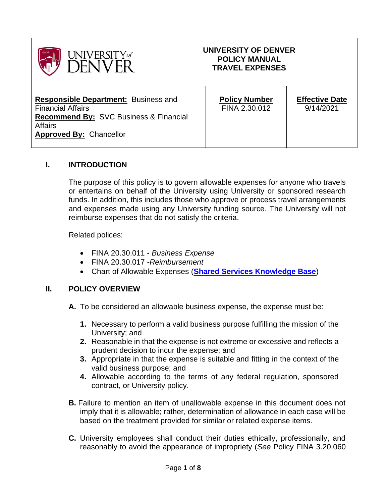

#### **UNIVERSITY OF DENVER POLICY MANUAL TRAVEL EXPENSES**

**Responsible Department:** Business and Financial Affairs **Recommend By:** SVC Business & Financial **Affairs Approved By:** Chancellor

**Policy Number** FINA 2.30.012

**Effective Date** 9/14/2021

## **I. INTRODUCTION**

The purpose of this policy is to govern allowable expenses for anyone who travels or entertains on behalf of the University using University or sponsored research funds. In addition, this includes those who approve or process travel arrangements and expenses made using any University funding source. The University will not reimburse expenses that do not satisfy the criteria.

Related polices:

- FINA 20.30.011 *Business Expense*
- FINA 20.30.017 -*Reimbursement*
- Chart of Allowable Expenses (**[Shared Services Knowledge Base](https://dusharedservicescenter.freshdesk.com/support/solutions/articles/30000033789)**)

#### **II. POLICY OVERVIEW**

- **A.** To be considered an allowable business expense, the expense must be:
	- **1.** Necessary to perform a valid business purpose fulfilling the mission of the University; and
	- **2.** Reasonable in that the expense is not extreme or excessive and reflects a prudent decision to incur the expense; and
	- **3.** Appropriate in that the expense is suitable and fitting in the context of the valid business purpose; and
	- **4.** Allowable according to the terms of any federal regulation, sponsored contract, or University policy.
- **B.** Failure to mention an item of unallowable expense in this document does not imply that it is allowable; rather, determination of allowance in each case will be based on the treatment provided for similar or related expense items.
- **C.** University employees shall conduct their duties ethically, professionally, and reasonably to avoid the appearance of impropriety (*See* Policy FINA 3.20.060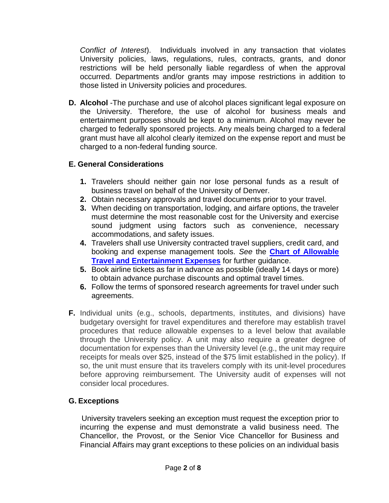*Conflict of Interest*). Individuals involved in any transaction that violates University policies, laws, regulations, rules, contracts, grants, and donor restrictions will be held personally liable regardless of when the approval occurred. Departments and/or grants may impose restrictions in addition to those listed in University policies and procedures.

**D. Alcohol** -The purchase and use of alcohol places significant legal exposure on the University. Therefore, the use of alcohol for business meals and entertainment purposes should be kept to a minimum. Alcohol may never be charged to federally sponsored projects. Any meals being charged to a federal grant must have all alcohol clearly itemized on the expense report and must be charged to a non-federal funding source.

# **E. General Considerations**

- **1.** Travelers should neither gain nor lose personal funds as a result of business travel on behalf of the University of Denver.
- **2.** Obtain necessary approvals and travel documents prior to your travel.
- **3.** When deciding on transportation, lodging, and airfare options, the traveler must determine the most reasonable cost for the University and exercise sound judgment using factors such as convenience, necessary accommodations, and safety issues.
- **4.** Travelers shall use University contracted travel suppliers, credit card, and booking and expense management tools. *See* the **[Chart of Allowable](https://dusharedservicescenter.freshdesk.com/support/solutions/articles/30000037291-chart-of-allowable-travel-and-entertainment-expenses)  [Travel and Entertainment Expenses](https://dusharedservicescenter.freshdesk.com/support/solutions/articles/30000037291-chart-of-allowable-travel-and-entertainment-expenses)** for further guidance.
- **5.** Book airline tickets as far in advance as possible (ideally 14 days or more) to obtain advance purchase discounts and optimal travel times.
- **6.** Follow the terms of sponsored research agreements for travel under such agreements.
- **F.** Individual units (e.g., schools, departments, institutes, and divisions) have budgetary oversight for travel expenditures and therefore may establish travel procedures that reduce allowable expenses to a level below that available through the University policy. A unit may also require a greater degree of documentation for expenses than the University level (e.g., the unit may require receipts for meals over \$25, instead of the \$75 limit established in the policy). If so, the unit must ensure that its travelers comply with its unit-level procedures before approving reimbursement. The University audit of expenses will not consider local procedures.

# **G. Exceptions**

University travelers seeking an exception must request the exception prior to incurring the expense and must demonstrate a valid business need. The Chancellor, the Provost, or the Senior Vice Chancellor for Business and Financial Affairs may grant exceptions to these policies on an individual basis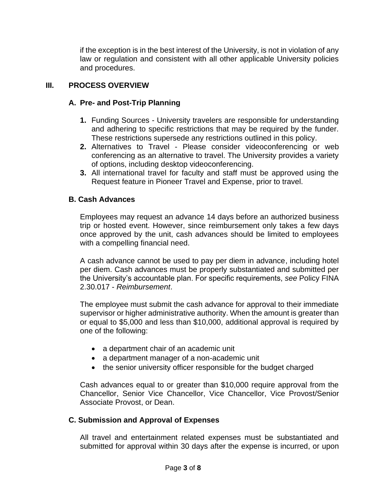if the exception is in the best interest of the University, is not in violation of any law or regulation and consistent with all other applicable University policies and procedures.

## **III. PROCESS OVERVIEW**

## **A. Pre- and Post-Trip Planning**

- **1.** Funding Sources University travelers are responsible for understanding and adhering to specific restrictions that may be required by the funder. These restrictions supersede any restrictions outlined in this policy.
- **2.** Alternatives to Travel Please consider videoconferencing or web conferencing as an alternative to travel. The University provides a variety of options, including desktop videoconferencing.
- **3.** All international travel for faculty and staff must be approved using the Request feature in Pioneer Travel and Expense, prior to travel.

## **B. Cash Advances**

Employees may request an advance 14 days before an authorized business trip or hosted event. However, since reimbursement only takes a few days once approved by the unit, cash advances should be limited to employees with a compelling financial need.

A cash advance cannot be used to pay per diem in advance, including hotel per diem. Cash advances must be properly substantiated and submitted per the University's accountable plan. For specific requirements, *see* Policy FINA 2.30.017 - *Reimbursement*.

The employee must submit the cash advance for approval to their immediate supervisor or higher administrative authority. When the amount is greater than or equal to \$5,000 and less than \$10,000, additional approval is required by one of the following:

- a department chair of an academic unit
- a department manager of a non-academic unit
- the senior university officer responsible for the budget charged

Cash advances equal to or greater than \$10,000 require approval from the Chancellor, Senior Vice Chancellor, Vice Chancellor, Vice Provost/Senior Associate Provost, or Dean.

## **C. Submission and Approval of Expenses**

All travel and entertainment related expenses must be substantiated and submitted for approval within 30 days after the expense is incurred, or upon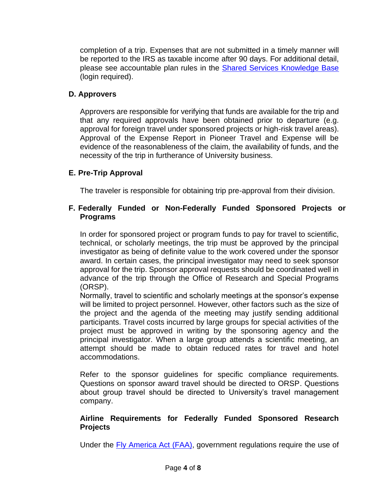completion of a trip. Expenses that are not submitted in a timely manner will be reported to the IRS as taxable income after 90 days. For additional detail, please see accountable plan rules in the [Shared Services Knowledge Base](https://dusharedservicescenter.freshdesk.com/support/solutions/articles/30000033789) (login required).

# **D. Approvers**

Approvers are responsible for verifying that funds are available for the trip and that any required approvals have been obtained prior to departure (e.g. approval for foreign travel under sponsored projects or high-risk travel areas). Approval of the Expense Report in Pioneer Travel and Expense will be evidence of the reasonableness of the claim, the availability of funds, and the necessity of the trip in furtherance of University business.

## **E. Pre-Trip Approval**

The traveler is responsible for obtaining trip pre-approval from their division.

#### **F. Federally Funded or Non-Federally Funded Sponsored Projects or Programs**

In order for sponsored project or program funds to pay for travel to scientific, technical, or scholarly meetings, the trip must be approved by the principal investigator as being of definite value to the work covered under the sponsor award. In certain cases, the principal investigator may need to seek sponsor approval for the trip. Sponsor approval requests should be coordinated well in advance of the trip through the Office of Research and Special Programs (ORSP).

Normally, travel to scientific and scholarly meetings at the sponsor's expense will be limited to project personnel. However, other factors such as the size of the project and the agenda of the meeting may justify sending additional participants. Travel costs incurred by large groups for special activities of the project must be approved in writing by the sponsoring agency and the principal investigator. When a large group attends a scientific meeting, an attempt should be made to obtain reduced rates for travel and hotel accommodations.

Refer to the sponsor guidelines for specific compliance requirements. Questions on sponsor award travel should be directed to ORSP. Questions about group travel should be directed to University's travel management company.

#### **Airline Requirements for Federally Funded Sponsored Research Projects**

Under the [Fly America Act \(FAA\),](https://www.gsa.gov/policy-regulations/policy/travel-management-policy/fly-america-act) government regulations require the use of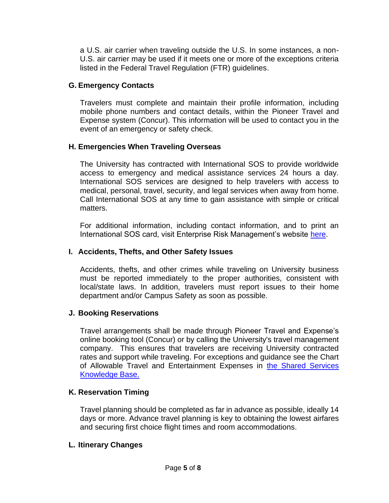a U.S. air carrier when traveling outside the U.S. In some instances, a non-U.S. air carrier may be used if it meets one or more of the exceptions criteria listed in the Federal Travel Regulation (FTR) guidelines.

## **G. Emergency Contacts**

Travelers must complete and maintain their profile information, including mobile phone numbers and contact details, within the Pioneer Travel and Expense system (Concur). This information will be used to contact you in the event of an emergency or safety check.

# **H. Emergencies When Traveling Overseas**

The University has contracted with International SOS to provide worldwide access to emergency and medical assistance services 24 hours a day. International SOS services are designed to help travelers with access to medical, personal, travel, security, and legal services when away from home. Call International SOS at any time to gain assistance with simple or critical matters.

For additional information, including contact information, and to print an International SOS card, visit Enterprise Risk Management's website [here.](https://www.du.edu/risk/international_travel/health_abroad.html)

# **I. Accidents, Thefts, and Other Safety Issues**

Accidents, thefts, and other crimes while traveling on University business must be reported immediately to the proper authorities, consistent with local/state laws. In addition, travelers must report issues to their home department and/or Campus Safety as soon as possible.

# **J. Booking Reservations**

Travel arrangements shall be made through Pioneer Travel and Expense's online booking tool (Concur) or by calling the University's travel management company. This ensures that travelers are receiving University contracted rates and support while traveling. For exceptions and guidance see the Chart of Allowable Travel and Entertainment Expenses in [the Shared Services](https://dusharedservicescenter.freshdesk.com/support/solutions/30000035273)  [Knowledge Base.](https://dusharedservicescenter.freshdesk.com/support/solutions/30000035273)

# **K. Reservation Timing**

Travel planning should be completed as far in advance as possible, ideally 14 days or more. Advance travel planning is key to obtaining the lowest airfares and securing first choice flight times and room accommodations.

## **L. Itinerary Changes**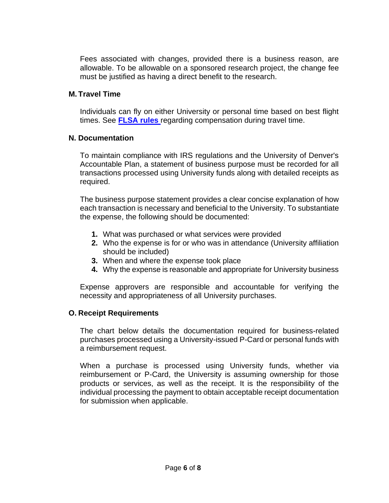Fees associated with changes, provided there is a business reason, are allowable. To be allowable on a sponsored research project, the change fee must be justified as having a direct benefit to the research.

## **M. Travel Time**

Individuals can fly on either University or personal time based on best flight times. See **[FLSA rules](https://www.dol.gov/whd/regs/compliance/whdfs22.pdf)** regarding compensation during travel time.

#### **N. Documentation**

To maintain compliance with IRS regulations and the University of Denver's Accountable Plan, a statement of business purpose must be recorded for all transactions processed using University funds along with detailed receipts as required.

The business purpose statement provides a clear concise explanation of how each transaction is necessary and beneficial to the University. To substantiate the expense, the following should be documented:

- **1.** What was purchased or what services were provided
- **2.** Who the expense is for or who was in attendance (University affiliation should be included)
- **3.** When and where the expense took place
- **4.** Why the expense is reasonable and appropriate for University business

Expense approvers are responsible and accountable for verifying the necessity and appropriateness of all University purchases.

## **O. Receipt Requirements**

The chart below details the documentation required for business-related purchases processed using a University-issued P-Card or personal funds with a reimbursement request.

When a purchase is processed using University funds, whether via reimbursement or P-Card, the University is assuming ownership for those products or services, as well as the receipt. It is the responsibility of the individual processing the payment to obtain acceptable receipt documentation for submission when applicable.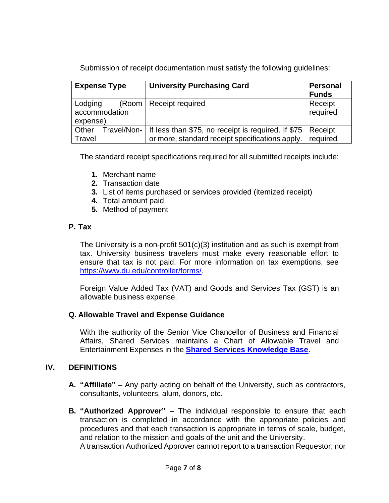Submission of receipt documentation must satisfy the following guidelines:

| <b>Expense Type</b>                  | <b>University Purchasing Card</b>                                                                               | <b>Personal</b><br><b>Funds</b> |
|--------------------------------------|-----------------------------------------------------------------------------------------------------------------|---------------------------------|
| Lodging<br>accommodation<br>expense) | (Room   Receipt required                                                                                        | Receipt<br>required             |
| Other<br>Travel/Non-<br>Travel       | If less than \$75, no receipt is required. If \$75   Receipt<br>or more, standard receipt specifications apply. | required                        |

The standard receipt specifications required for all submitted receipts include:

- **1.** Merchant name
- **2.** Transaction date
- **3.** List of items purchased or services provided (itemized receipt)
- **4.** Total amount paid
- **5.** Method of payment

# **P. Tax**

The University is a non-profit 501(c)(3) institution and as such is exempt from tax. University business travelers must make every reasonable effort to ensure that tax is not paid. For more information on tax exemptions, see [https://www.du.edu/controller/forms/.](https://www.du.edu/controller/forms/)

Foreign Value Added Tax (VAT) and Goods and Services Tax (GST) is an allowable business expense.

## **Q. Allowable Travel and Expense Guidance**

With the authority of the Senior Vice Chancellor of Business and Financial Affairs, Shared Services maintains a Chart of Allowable Travel and Entertainment Expenses in the **[Shared Services Knowledge Base](https://dusharedservicescenter.freshdesk.com/support/solutions/articles/30000033789)**.

## **IV. DEFINITIONS**

- **A. "Affiliate"** Any party acting on behalf of the University, such as contractors, consultants, volunteers, alum, donors, etc.
- **B. "Authorized Approver"** The individual responsible to ensure that each transaction is completed in accordance with the appropriate policies and procedures and that each transaction is appropriate in terms of scale, budget, and relation to the mission and goals of the unit and the University.

A transaction Authorized Approver cannot report to a transaction Requestor; nor